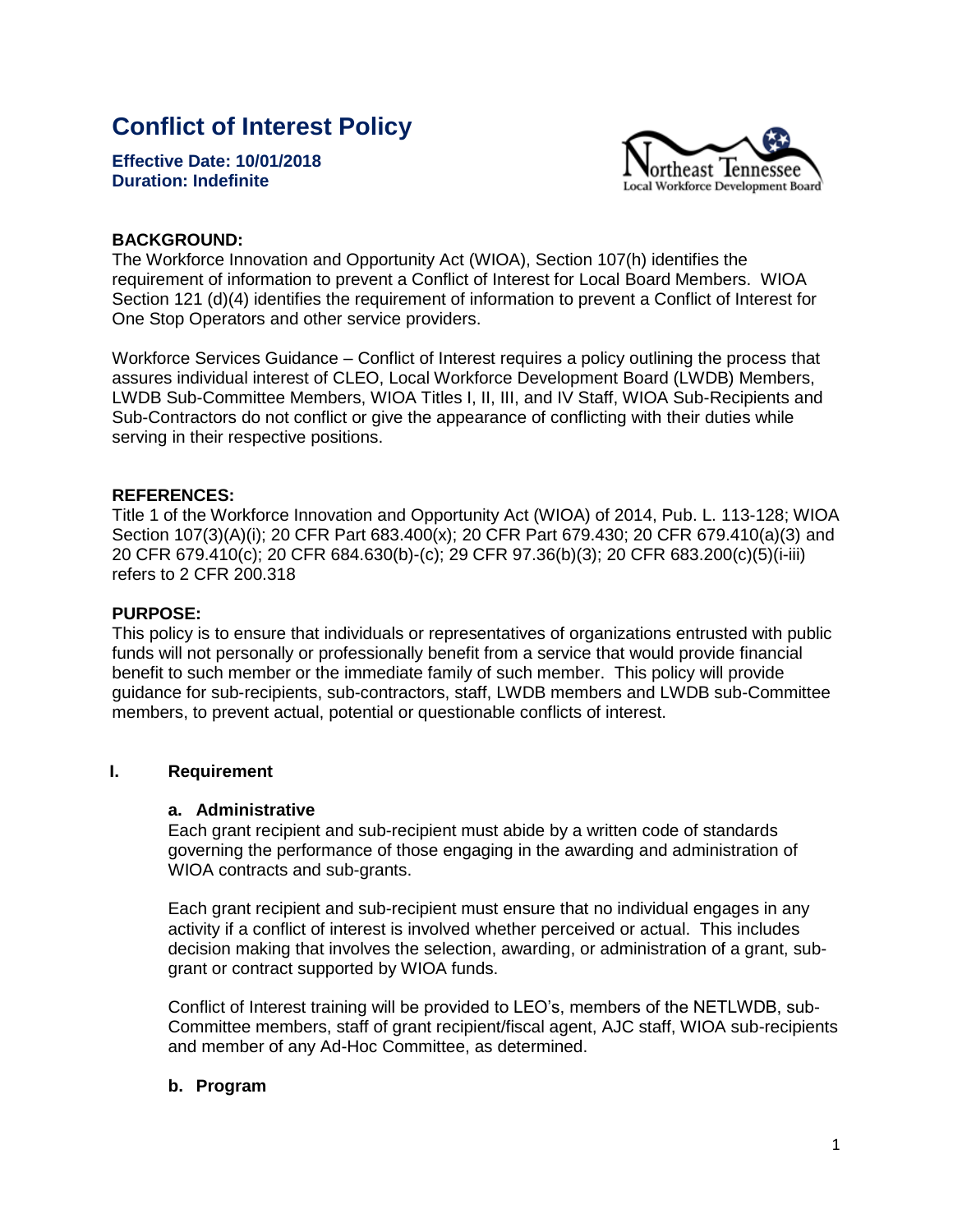# **Conflict of Interest Policy**

**Effective Date: 10/01/2018 Duration: Indefinite** 



#### **BACKGROUND:**

The Workforce Innovation and Opportunity Act (WIOA), Section 107(h) identifies the requirement of information to prevent a Conflict of Interest for Local Board Members. WIOA Section 121 (d)(4) identifies the requirement of information to prevent a Conflict of Interest for One Stop Operators and other service providers.

Workforce Services Guidance – Conflict of Interest requires a policy outlining the process that assures individual interest of CLEO, Local Workforce Development Board (LWDB) Members, LWDB Sub-Committee Members, WIOA Titles I, II, III, and IV Staff, WIOA Sub-Recipients and Sub-Contractors do not conflict or give the appearance of conflicting with their duties while serving in their respective positions.

#### **REFERENCES:**

Title 1 of the Workforce Innovation and Opportunity Act (WIOA) of 2014, Pub. L. 113-128; WIOA Section 107(3)(A)(i); 20 CFR Part 683.400(x); 20 CFR Part 679.430; 20 CFR 679.410(a)(3) and 20 CFR 679.410(c); 20 CFR 684.630(b)-(c); 29 CFR 97.36(b)(3); 20 CFR 683.200(c)(5)(i-iii) refers to 2 CFR 200.318

#### **PURPOSE:**

This policy is to ensure that individuals or representatives of organizations entrusted with public funds will not personally or professionally benefit from a service that would provide financial benefit to such member or the immediate family of such member. This policy will provide guidance for sub-recipients, sub-contractors, staff, LWDB members and LWDB sub-Committee members, to prevent actual, potential or questionable conflicts of interest.

#### **I. Requirement**

#### **a. Administrative**

Each grant recipient and sub-recipient must abide by a written code of standards governing the performance of those engaging in the awarding and administration of WIOA contracts and sub-grants.

Each grant recipient and sub-recipient must ensure that no individual engages in any activity if a conflict of interest is involved whether perceived or actual. This includes decision making that involves the selection, awarding, or administration of a grant, subgrant or contract supported by WIOA funds.

Conflict of Interest training will be provided to LEO's, members of the NETLWDB, sub-Committee members, staff of grant recipient/fiscal agent, AJC staff, WIOA sub-recipients and member of any Ad-Hoc Committee, as determined.

#### **b. Program**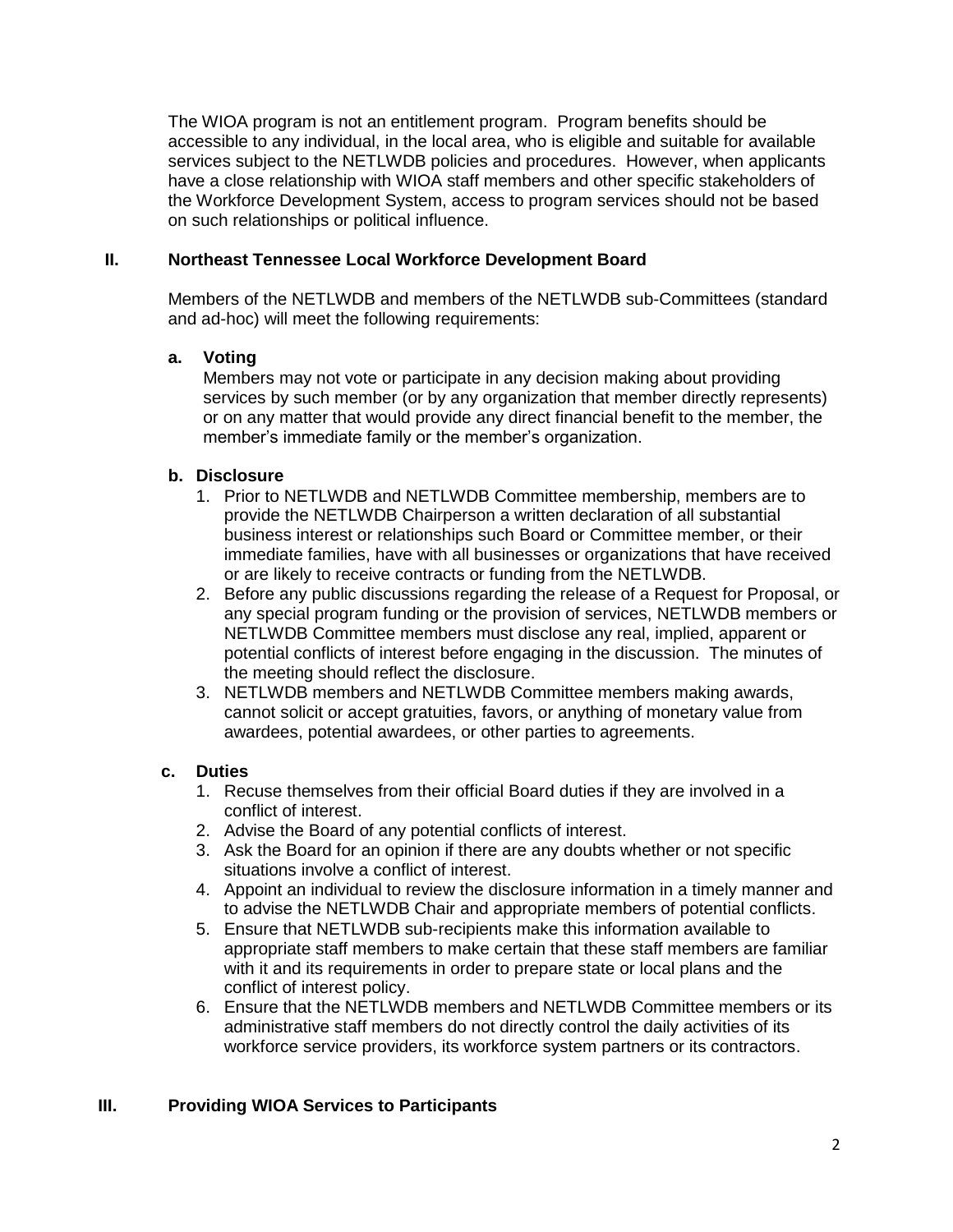The WIOA program is not an entitlement program. Program benefits should be accessible to any individual, in the local area, who is eligible and suitable for available services subject to the NETLWDB policies and procedures. However, when applicants have a close relationship with WIOA staff members and other specific stakeholders of the Workforce Development System, access to program services should not be based on such relationships or political influence.

#### **II. Northeast Tennessee Local Workforce Development Board**

Members of the NETLWDB and members of the NETLWDB sub-Committees (standard and ad-hoc) will meet the following requirements:

## **a. Voting**

Members may not vote or participate in any decision making about providing services by such member (or by any organization that member directly represents) or on any matter that would provide any direct financial benefit to the member, the member's immediate family or the member's organization.

## **b. Disclosure**

- 1. Prior to NETLWDB and NETLWDB Committee membership, members are to provide the NETLWDB Chairperson a written declaration of all substantial business interest or relationships such Board or Committee member, or their immediate families, have with all businesses or organizations that have received or are likely to receive contracts or funding from the NETLWDB.
- 2. Before any public discussions regarding the release of a Request for Proposal, or any special program funding or the provision of services, NETLWDB members or NETLWDB Committee members must disclose any real, implied, apparent or potential conflicts of interest before engaging in the discussion. The minutes of the meeting should reflect the disclosure.
- 3. NETLWDB members and NETLWDB Committee members making awards, cannot solicit or accept gratuities, favors, or anything of monetary value from awardees, potential awardees, or other parties to agreements.

# **c. Duties**

- 1. Recuse themselves from their official Board duties if they are involved in a conflict of interest.
- 2. Advise the Board of any potential conflicts of interest.
- 3. Ask the Board for an opinion if there are any doubts whether or not specific situations involve a conflict of interest.
- 4. Appoint an individual to review the disclosure information in a timely manner and to advise the NETLWDB Chair and appropriate members of potential conflicts.
- 5. Ensure that NETLWDB sub-recipients make this information available to appropriate staff members to make certain that these staff members are familiar with it and its requirements in order to prepare state or local plans and the conflict of interest policy.
- 6. Ensure that the NETLWDB members and NETLWDB Committee members or its administrative staff members do not directly control the daily activities of its workforce service providers, its workforce system partners or its contractors.

# **III. Providing WIOA Services to Participants**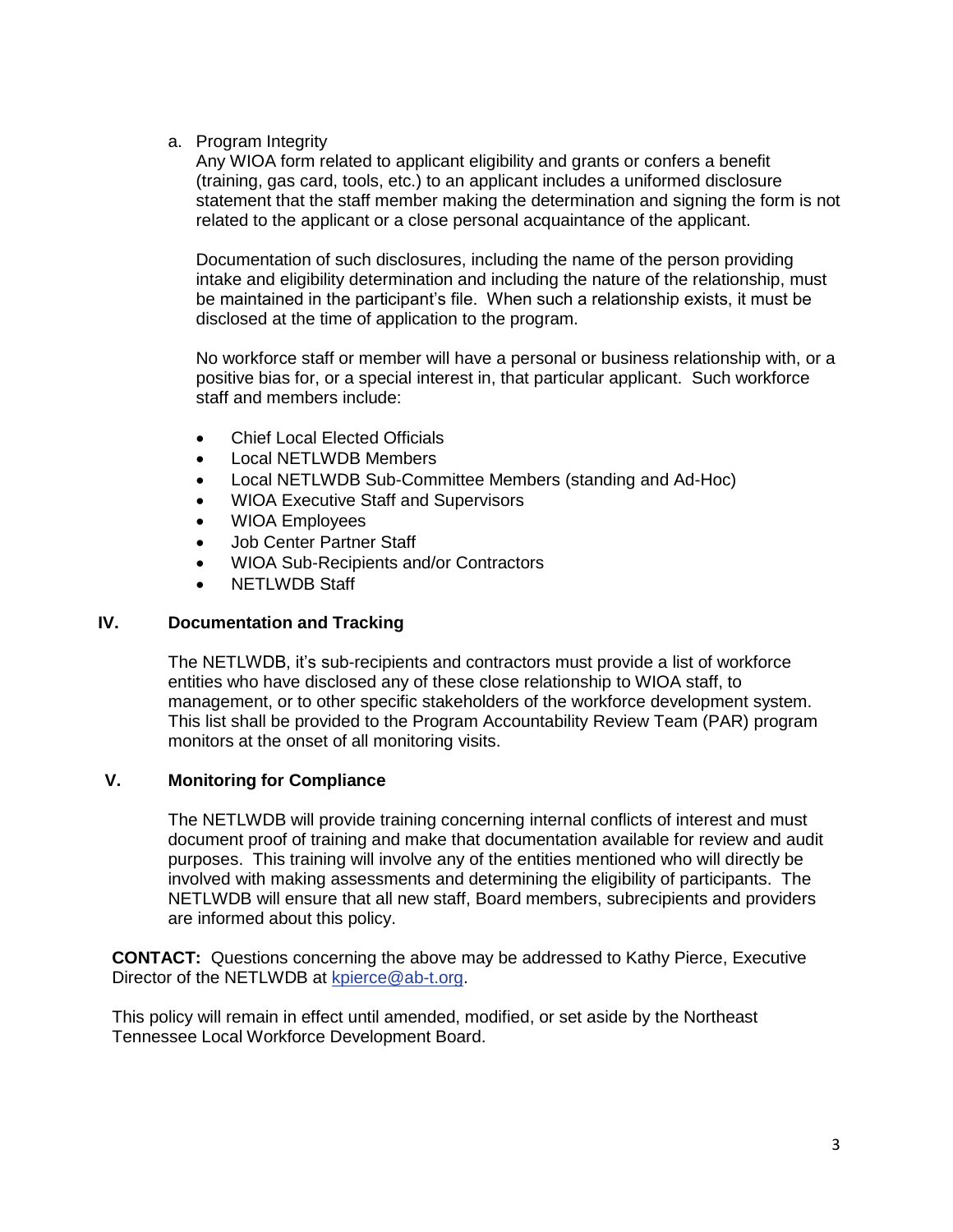a. Program Integrity

Any WIOA form related to applicant eligibility and grants or confers a benefit (training, gas card, tools, etc.) to an applicant includes a uniformed disclosure statement that the staff member making the determination and signing the form is not related to the applicant or a close personal acquaintance of the applicant.

Documentation of such disclosures, including the name of the person providing intake and eligibility determination and including the nature of the relationship, must be maintained in the participant's file. When such a relationship exists, it must be disclosed at the time of application to the program.

No workforce staff or member will have a personal or business relationship with, or a positive bias for, or a special interest in, that particular applicant. Such workforce staff and members include:

- Chief Local Elected Officials
- Local NETLWDB Members
- Local NETLWDB Sub-Committee Members (standing and Ad-Hoc)
- WIOA Executive Staff and Supervisors
- WIOA Employees
- Job Center Partner Staff
- WIOA Sub-Recipients and/or Contractors
- NETLWDB Staff

#### **IV. Documentation and Tracking**

The NETLWDB, it's sub-recipients and contractors must provide a list of workforce entities who have disclosed any of these close relationship to WIOA staff, to management, or to other specific stakeholders of the workforce development system. This list shall be provided to the Program Accountability Review Team (PAR) program monitors at the onset of all monitoring visits.

## **V. Monitoring for Compliance**

The NETLWDB will provide training concerning internal conflicts of interest and must document proof of training and make that documentation available for review and audit purposes. This training will involve any of the entities mentioned who will directly be involved with making assessments and determining the eligibility of participants. The NETLWDB will ensure that all new staff, Board members, subrecipients and providers are informed about this policy.

**CONTACT:** Questions concerning the above may be addressed to Kathy Pierce, Executive Director of the NETLWDB at [kpierce@ab-t.org.](mailto:kpierce@ab-t.org)

This policy will remain in effect until amended, modified, or set aside by the Northeast Tennessee Local Workforce Development Board.